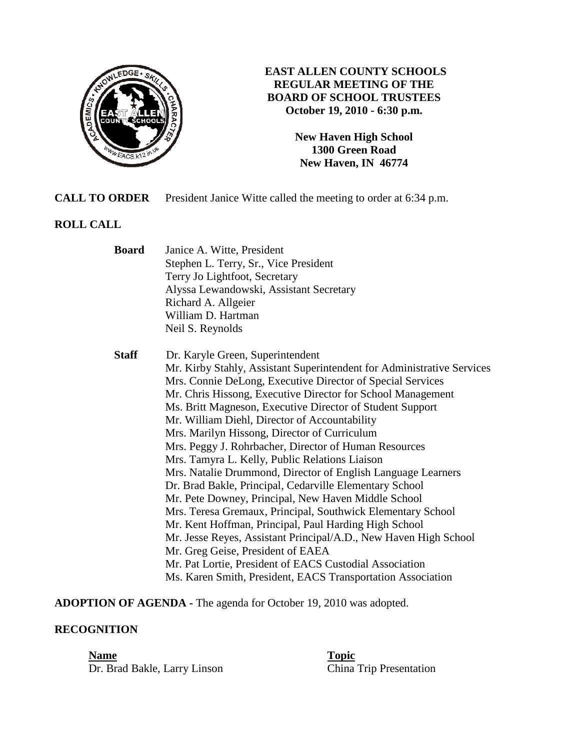

# **EAST ALLEN COUNTY SCHOOLS REGULAR MEETING OF THE BOARD OF SCHOOL TRUSTEES October 19, 2010 - 6:30 p.m.**

**New Haven High School 1300 Green Road New Haven, IN 46774**

**CALL TO ORDER** President Janice Witte called the meeting to order at 6:34 p.m.

# **ROLL CALL**

| Board | Janice A. Witte, President              |
|-------|-----------------------------------------|
|       | Stephen L. Terry, Sr., Vice President   |
|       | Terry Jo Lightfoot, Secretary           |
|       | Alyssa Lewandowski, Assistant Secretary |
|       | Richard A. Allgeier                     |
|       | William D. Hartman                      |
|       | Neil S. Reynolds                        |

 **Staff** Dr. Karyle Green, Superintendent Mr. Kirby Stahly, Assistant Superintendent for Administrative Services Mrs. Connie DeLong, Executive Director of Special Services Mr. Chris Hissong, Executive Director for School Management Ms. Britt Magneson, Executive Director of Student Support Mr. William Diehl, Director of Accountability Mrs. Marilyn Hissong, Director of Curriculum Mrs. Peggy J. Rohrbacher, Director of Human Resources Mrs. Tamyra L. Kelly, Public Relations Liaison Mrs. Natalie Drummond, Director of English Language Learners Dr. Brad Bakle, Principal, Cedarville Elementary School Mr. Pete Downey, Principal, New Haven Middle School Mrs. Teresa Gremaux, Principal, Southwick Elementary School Mr. Kent Hoffman, Principal, Paul Harding High School Mr. Jesse Reyes, Assistant Principal/A.D., New Haven High School Mr. Greg Geise, President of EAEA Mr. Pat Lortie, President of EACS Custodial Association Ms. Karen Smith, President, EACS Transportation Association

**ADOPTION OF AGENDA -** The agenda for October 19, 2010 was adopted.

# **RECOGNITION**

**Name Topic** 

Dr. Brad Bakle, Larry Linson China Trip Presentation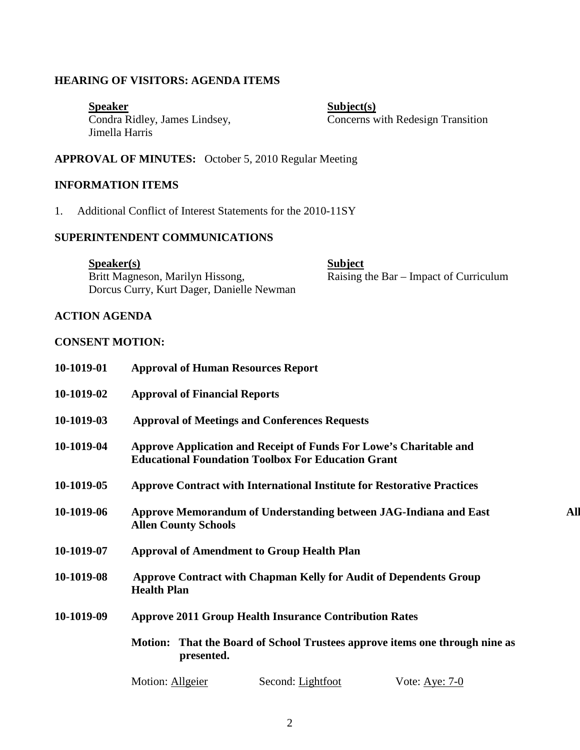## **HEARING OF VISITORS: AGENDA ITEMS**

Speaker<br>
Condra Ridley, James Lindsey,<br>
Concerns w Jimella Harris

Concerns with Redesign Transition

**APPROVAL OF MINUTES:** October 5, 2010 Regular Meeting

# **INFORMATION ITEMS**

1. Additional Conflict of Interest Statements for the 2010-11SY

#### **SUPERINTENDENT COMMUNICATIONS**

Speaker(s)<br>Britt Magneson, Marilyn Hissong, Subject Raising t  $\overline{\text{Raising}}$  the Bar – Impact of Curriculum Dorcus Curry, Kurt Dager, Danielle Newman

## **ACTION AGENDA**

#### **CONSENT MOTION:**

| 10-1019-01 | <b>Approval of Human Resources Report</b>                                                                                       |  |
|------------|---------------------------------------------------------------------------------------------------------------------------------|--|
| 10-1019-02 | <b>Approval of Financial Reports</b>                                                                                            |  |
| 10-1019-03 | <b>Approval of Meetings and Conferences Requests</b>                                                                            |  |
| 10-1019-04 | Approve Application and Receipt of Funds For Lowe's Charitable and<br><b>Educational Foundation Toolbox For Education Grant</b> |  |
| 10-1019-05 | <b>Approve Contract with International Institute for Restorative Practices</b>                                                  |  |
| 10-1019-06 | <b>All</b><br>Approve Memorandum of Understanding between JAG-Indiana and East<br><b>Allen County Schools</b>                   |  |
| 10-1019-07 | <b>Approval of Amendment to Group Health Plan</b>                                                                               |  |
| 10-1019-08 | <b>Approve Contract with Chapman Kelly for Audit of Dependents Group</b><br><b>Health Plan</b>                                  |  |
| 10-1019-09 | <b>Approve 2011 Group Health Insurance Contribution Rates</b>                                                                   |  |
|            | Motion: That the Board of School Trustees approve items one through nine as<br>presented.                                       |  |
|            | Motion: Allgeier<br>Second: Lightfoot<br>Vote: Aye: $7-0$                                                                       |  |